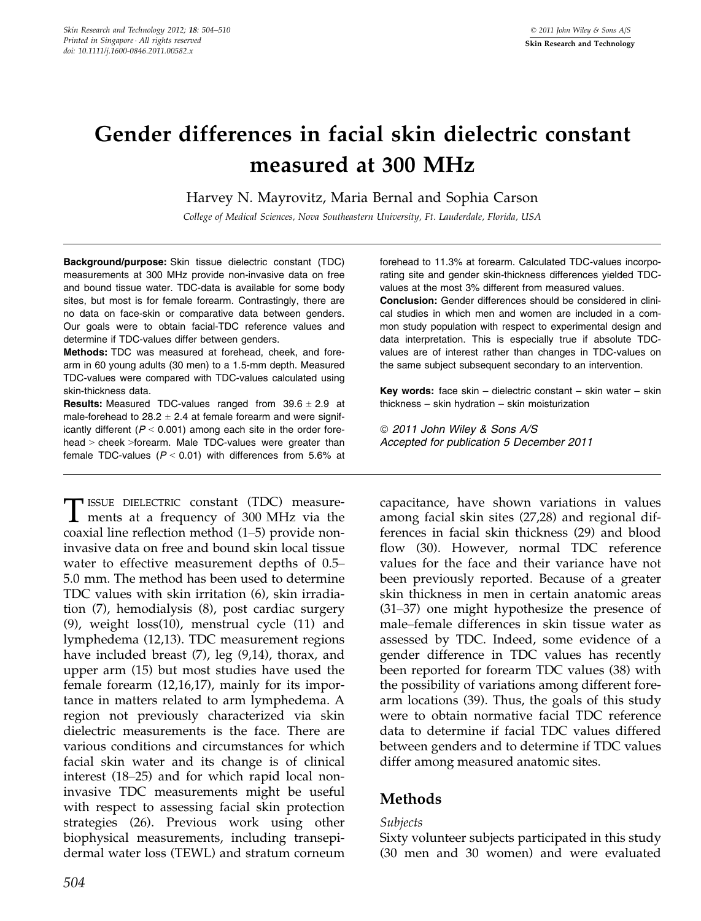# Gender differences in facial skin dielectric constant measured at 300 MHz

Harvey N. Mayrovitz, Maria Bernal and Sophia Carson

College of Medical Sciences, Nova Southeastern University, Ft. Lauderdale, Florida, USA

Background/purpose: Skin tissue dielectric constant (TDC) measurements at 300 MHz provide non-invasive data on free and bound tissue water. TDC-data is available for some body sites, but most is for female forearm. Contrastingly, there are no data on face-skin or comparative data between genders. Our goals were to obtain facial-TDC reference values and determine if TDC-values differ between genders.

Methods: TDC was measured at forehead, cheek, and forearm in 60 young adults (30 men) to a 1.5-mm depth. Measured TDC-values were compared with TDC-values calculated using skin-thickness data.

**Results:** Measured TDC-values ranged from  $39.6 \pm 2.9$  at male-forehead to  $28.2 \pm 2.4$  at female forearm and were significantly different ( $P < 0.001$ ) among each site in the order forehead > cheek >forearm. Male TDC-values were greater than female TDC-values ( $P < 0.01$ ) with differences from 5.6% at

T ISSUE DIELECTRIC constant (TDC) measure-<br>ments at a frequency of 300 MHz via the coaxial line reflection method (1–5) provide noninvasive data on free and bound skin local tissue water to effective measurement depths of 0.5– 5.0 mm. The method has been used to determine TDC values with skin irritation (6), skin irradiation (7), hemodialysis (8), post cardiac surgery (9), weight loss(10), menstrual cycle (11) and lymphedema (12,13). TDC measurement regions have included breast (7), leg (9,14), thorax, and upper arm (15) but most studies have used the female forearm (12,16,17), mainly for its importance in matters related to arm lymphedema. A region not previously characterized via skin dielectric measurements is the face. There are various conditions and circumstances for which facial skin water and its change is of clinical interest (18–25) and for which rapid local noninvasive TDC measurements might be useful with respect to assessing facial skin protection strategies (26). Previous work using other biophysical measurements, including transepidermal water loss (TEWL) and stratum corneum forehead to 11.3% at forearm. Calculated TDC-values incorporating site and gender skin-thickness differences yielded TDCvalues at the most 3% different from measured values.

Conclusion: Gender differences should be considered in clinical studies in which men and women are included in a common study population with respect to experimental design and data interpretation. This is especially true if absolute TDCvalues are of interest rather than changes in TDC-values on the same subject subsequent secondary to an intervention.

Key words: face skin – dielectric constant – skin water – skin thickness – skin hydration – skin moisturization

 $@ 2011$  John Wiley & Sons A/S Accepted for publication 5 December 2011

capacitance, have shown variations in values among facial skin sites (27,28) and regional differences in facial skin thickness (29) and blood flow (30). However, normal TDC reference values for the face and their variance have not been previously reported. Because of a greater skin thickness in men in certain anatomic areas (31–37) one might hypothesize the presence of male–female differences in skin tissue water as assessed by TDC. Indeed, some evidence of a gender difference in TDC values has recently been reported for forearm TDC values (38) with the possibility of variations among different forearm locations (39). Thus, the goals of this study were to obtain normative facial TDC reference data to determine if facial TDC values differed between genders and to determine if TDC values differ among measured anatomic sites.

# Methods

## **Subjects**

Sixty volunteer subjects participated in this study (30 men and 30 women) and were evaluated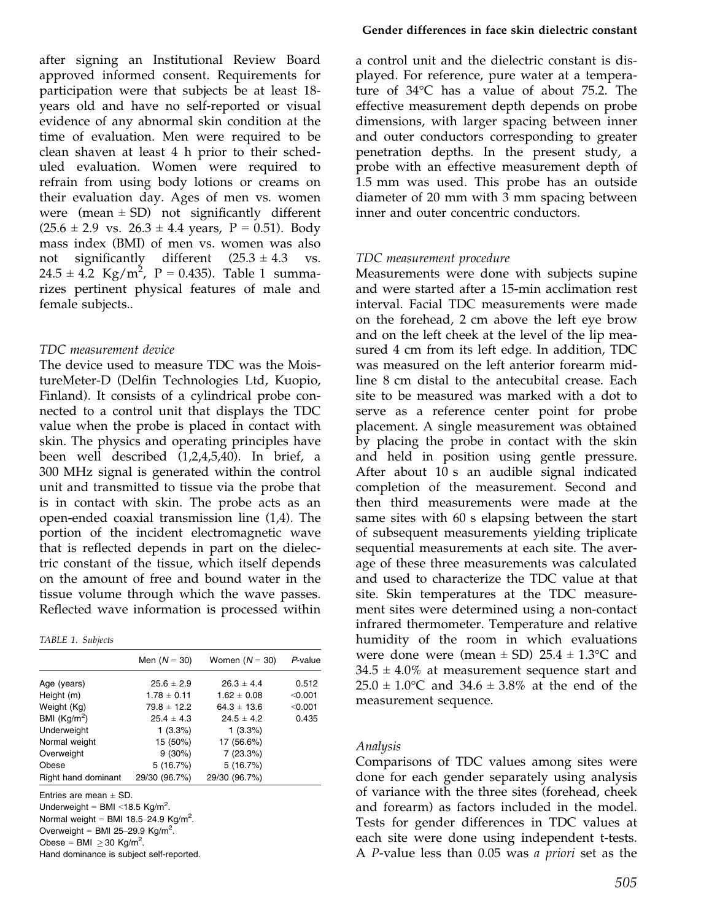after signing an Institutional Review Board approved informed consent. Requirements for participation were that subjects be at least 18 years old and have no self-reported or visual evidence of any abnormal skin condition at the time of evaluation. Men were required to be clean shaven at least 4 h prior to their scheduled evaluation. Women were required to refrain from using body lotions or creams on their evaluation day. Ages of men vs. women were (mean  $\pm$  SD) not significantly different  $(25.6 \pm 2.9 \text{ vs. } 26.3 \pm 4.4 \text{ years}, P = 0.51)$ . Body mass index (BMI) of men vs. women was also not significantly different  $(25.3 \pm 4.3 \text{ vs.}$  $24.5 \pm 4.2 \text{ Kg/m}^2$ , P = 0.435). Table 1 summarizes pertinent physical features of male and female subjects..

#### TDC measurement device

The device used to measure TDC was the MoistureMeter-D (Delfin Technologies Ltd, Kuopio, Finland). It consists of a cylindrical probe connected to a control unit that displays the TDC value when the probe is placed in contact with skin. The physics and operating principles have been well described (1,2,4,5,40). In brief, a 300 MHz signal is generated within the control unit and transmitted to tissue via the probe that is in contact with skin. The probe acts as an open-ended coaxial transmission line (1,4). The portion of the incident electromagnetic wave that is reflected depends in part on the dielectric constant of the tissue, which itself depends on the amount of free and bound water in the tissue volume through which the wave passes. Reflected wave information is processed within

TABLE 1. Subjects

|                     | Men $(N = 30)$  | Women $(N = 30)$ | P-value |
|---------------------|-----------------|------------------|---------|
| Age (years)         | $25.6 \pm 2.9$  | $26.3 \pm 4.4$   | 0.512   |
| Height (m)          | $1.78 \pm 0.11$ | $1.62 \pm 0.08$  | < 0.001 |
| Weight (Kg)         | $79.8 \pm 12.2$ | $64.3 \pm 13.6$  | < 0.001 |
| BMI $(Kg/m2)$       | $25.4 \pm 4.3$  | $24.5 \pm 4.2$   | 0.435   |
| Underweight         | 1(3.3%)         | $1(3.3\%)$       |         |
| Normal weight       | 15 (50%)        | 17 (56.6%)       |         |
| Overweight          | $9(30\%)$       | 7(23.3%)         |         |
| Obese               | 5(16.7%)        | 5(16.7%)         |         |
| Right hand dominant | 29/30 (96.7%)   | 29/30 (96.7%)    |         |

Entries are mean  $\pm$  SD.

Underweight =  $BMI < 18.5$  Kg/m<sup>2</sup>.

Normal weight = BMI 18.5-24.9 Kg/m<sup>2</sup>.

Overweight = BMI 25-29.9  $\text{Kg/m}^2$ .

Obese = BMI  $\geq$  30 Kg/m<sup>2</sup>. Hand dominance is subject self-reported. Gender differences in face skin dielectric constant

a control unit and the dielectric constant is displayed. For reference, pure water at a temperature of 34°C has a value of about 75.2. The effective measurement depth depends on probe dimensions, with larger spacing between inner and outer conductors corresponding to greater penetration depths. In the present study, a probe with an effective measurement depth of 1.5 mm was used. This probe has an outside diameter of 20 mm with 3 mm spacing between inner and outer concentric conductors.

## TDC measurement procedure

Measurements were done with subjects supine and were started after a 15-min acclimation rest interval. Facial TDC measurements were made on the forehead, 2 cm above the left eye brow and on the left cheek at the level of the lip measured 4 cm from its left edge. In addition, TDC was measured on the left anterior forearm midline 8 cm distal to the antecubital crease. Each site to be measured was marked with a dot to serve as a reference center point for probe placement. A single measurement was obtained by placing the probe in contact with the skin and held in position using gentle pressure. After about 10 s an audible signal indicated completion of the measurement. Second and then third measurements were made at the same sites with 60 s elapsing between the start of subsequent measurements yielding triplicate sequential measurements at each site. The average of these three measurements was calculated and used to characterize the TDC value at that site. Skin temperatures at the TDC measurement sites were determined using a non-contact infrared thermometer. Temperature and relative humidity of the room in which evaluations were done were (mean  $\pm$  SD) 25.4  $\pm$  1.3°C and  $34.5 \pm 4.0\%$  at measurement sequence start and  $25.0 \pm 1.0$ °C and  $34.6 \pm 3.8$ % at the end of the measurement sequence.

#### Analysis

Comparisons of TDC values among sites were done for each gender separately using analysis of variance with the three sites (forehead, cheek and forearm) as factors included in the model. Tests for gender differences in TDC values at each site were done using independent t-tests. A P-value less than 0.05 was a priori set as the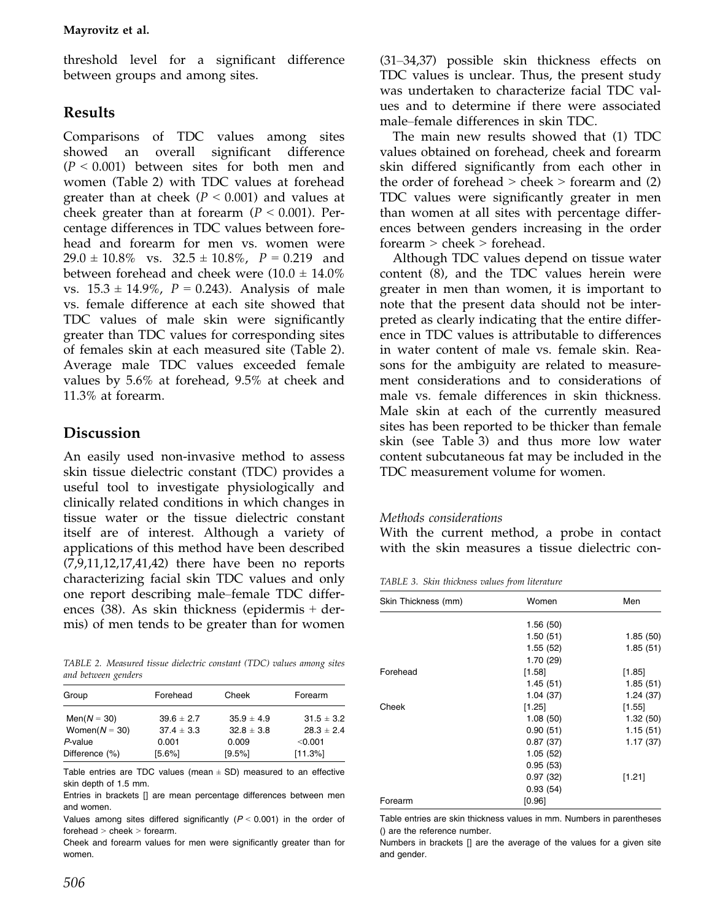threshold level for a significant difference between groups and among sites.

# Results

Comparisons of TDC values among sites showed an overall significant difference  $(P < 0.001)$  between sites for both men and women (Table 2) with TDC values at forehead greater than at cheek ( $P < 0.001$ ) and values at cheek greater than at forearm  $(P < 0.001)$ . Percentage differences in TDC values between forehead and forearm for men vs. women were  $29.0 \pm 10.8\%$  vs.  $32.5 \pm 10.8\%$ ,  $P = 0.219$  and between forehead and cheek were  $(10.0 \pm 14.0\%)$ vs.  $15.3 \pm 14.9\%$ ,  $P = 0.243$ ). Analysis of male vs. female difference at each site showed that TDC values of male skin were significantly greater than TDC values for corresponding sites of females skin at each measured site (Table 2). Average male TDC values exceeded female values by 5.6% at forehead, 9.5% at cheek and 11.3% at forearm.

# Discussion

An easily used non-invasive method to assess skin tissue dielectric constant (TDC) provides a useful tool to investigate physiologically and clinically related conditions in which changes in tissue water or the tissue dielectric constant itself are of interest. Although a variety of applications of this method have been described  $(7,9,11,12,17,41,42)$  there have been no reports characterizing facial skin TDC values and only one report describing male–female TDC differences (38). As skin thickness (epidermis + dermis) of men tends to be greater than for women

TABLE 2. Measured tissue dielectric constant (TDC) values among sites and between genders

| Group             | Forehead       | Cheek          | Forearm        |
|-------------------|----------------|----------------|----------------|
| $Men(N = 30)$     | $39.6 \pm 2.7$ | $35.9 \pm 4.9$ | $31.5 \pm 3.2$ |
| Women( $N = 30$ ) | $37.4 \pm 3.3$ | $32.8 \pm 3.8$ | $28.3 \pm 2.4$ |
| P-value           | 0.001          | 0.009          | < 0.001        |
| Difference (%)    | $[5.6\%]$      | [9.5%]         | [11.3%]        |

Table entries are TDC values (mean  $\pm$  SD) measured to an effective skin depth of 1.5 mm.

Entries in brackets [] are mean percentage differences between men and women.

Values among sites differed significantly  $(P < 0.001)$  in the order of forehead > cheek > forearm.

Cheek and forearm values for men were significantly greater than for women.

(31–34,37) possible skin thickness effects on TDC values is unclear. Thus, the present study was undertaken to characterize facial TDC values and to determine if there were associated male–female differences in skin TDC.

The main new results showed that (1) TDC values obtained on forehead, cheek and forearm skin differed significantly from each other in the order of forehead  $>$  cheek  $>$  forearm and (2) TDC values were significantly greater in men than women at all sites with percentage differences between genders increasing in the order forearm > cheek > forehead.

Although TDC values depend on tissue water content (8), and the TDC values herein were greater in men than women, it is important to note that the present data should not be interpreted as clearly indicating that the entire difference in TDC values is attributable to differences in water content of male vs. female skin. Reasons for the ambiguity are related to measurement considerations and to considerations of male vs. female differences in skin thickness. Male skin at each of the currently measured sites has been reported to be thicker than female skin (see Table 3) and thus more low water content subcutaneous fat may be included in the TDC measurement volume for women.

#### Methods considerations

With the current method, a probe in contact with the skin measures a tissue dielectric con-

TABLE 3. Skin thickness values from literature

| Skin Thickness (mm) | Women    | Men      |
|---------------------|----------|----------|
|                     | 1.56(50) |          |
|                     | 1.50(51) | 1.85(50) |
|                     | 1.55(52) | 1.85(51) |
|                     | 1.70(29) |          |
| Forehead            | [1.58]   | [1.85]   |
|                     | 1.45(51) | 1.85(51) |
|                     | 1.04(37) | 1.24(37) |
| Cheek               | [1.25]   | [1.55]   |
|                     | 1.08(50) | 1.32(50) |
|                     | 0.90(51) | 1.15(51) |
|                     | 0.87(37) | 1.17(37) |
|                     | 1.05(52) |          |
|                     | 0.95(53) |          |
|                     | 0.97(32) | [1.21]   |
|                     | 0.93(54) |          |
| Forearm             | [0.96]   |          |

Table entries are skin thickness values in mm. Numbers in parentheses () are the reference number.

Numbers in brackets [] are the average of the values for a given site and gender.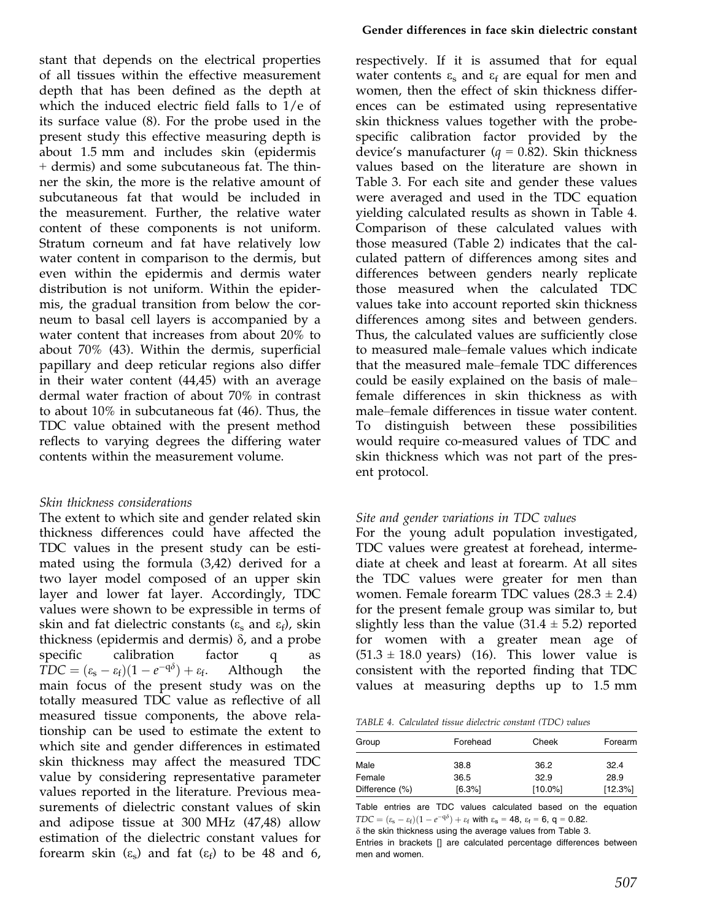stant that depends on the electrical properties of all tissues within the effective measurement depth that has been defined as the depth at which the induced electric field falls to 1/e of its surface value (8). For the probe used in the present study this effective measuring depth is about 1.5 mm and includes skin (epidermis + dermis) and some subcutaneous fat. The thinner the skin, the more is the relative amount of subcutaneous fat that would be included in the measurement. Further, the relative water content of these components is not uniform. Stratum corneum and fat have relatively low water content in comparison to the dermis, but even within the epidermis and dermis water distribution is not uniform. Within the epidermis, the gradual transition from below the corneum to basal cell layers is accompanied by a water content that increases from about 20% to about 70% (43). Within the dermis, superficial papillary and deep reticular regions also differ in their water content (44,45) with an average dermal water fraction of about 70% in contrast to about 10% in subcutaneous fat (46). Thus, the TDC value obtained with the present method reflects to varying degrees the differing water contents within the measurement volume.

#### Skin thickness considerations

The extent to which site and gender related skin thickness differences could have affected the TDC values in the present study can be estimated using the formula (3,42) derived for a two layer model composed of an upper skin layer and lower fat layer. Accordingly, TDC values were shown to be expressible in terms of skin and fat dielectric constants ( $\varepsilon_s$  and  $\varepsilon_f$ ), skin thickness (epidermis and dermis)  $\delta$ , and a probe specific calibration factor q as  $TDC = (\varepsilon_{s} - \varepsilon_{f})(1 - e^{-q\delta}) + \varepsilon_{f}$ . Although the main focus of the present study was on the totally measured TDC value as reflective of all measured tissue components, the above relationship can be used to estimate the extent to which site and gender differences in estimated skin thickness may affect the measured TDC value by considering representative parameter values reported in the literature. Previous measurements of dielectric constant values of skin and adipose tissue at 300 MHz (47,48) allow estimation of the dielectric constant values for forearm skin  $(\varepsilon_s)$  and fat  $(\varepsilon_f)$  to be 48 and 6,

#### Gender differences in face skin dielectric constant

respectively. If it is assumed that for equal water contents  $\varepsilon_s$  and  $\varepsilon_f$  are equal for men and women, then the effect of skin thickness differences can be estimated using representative skin thickness values together with the probespecific calibration factor provided by the device's manufacturer ( $q = 0.82$ ). Skin thickness values based on the literature are shown in Table 3. For each site and gender these values were averaged and used in the TDC equation yielding calculated results as shown in Table 4. Comparison of these calculated values with those measured (Table 2) indicates that the calculated pattern of differences among sites and differences between genders nearly replicate those measured when the calculated TDC values take into account reported skin thickness differences among sites and between genders. Thus, the calculated values are sufficiently close to measured male–female values which indicate that the measured male–female TDC differences could be easily explained on the basis of male– female differences in skin thickness as with male–female differences in tissue water content. To distinguish between these possibilities would require co-measured values of TDC and skin thickness which was not part of the present protocol.

## Site and gender variations in TDC values

For the young adult population investigated, TDC values were greatest at forehead, intermediate at cheek and least at forearm. At all sites the TDC values were greater for men than women. Female forearm TDC values  $(28.3 \pm 2.4)$ for the present female group was similar to, but slightly less than the value  $(31.4 \pm 5.2)$  reported for women with a greater mean age of  $(51.3 \pm 18.0 \text{ years})$  (16). This lower value is consistent with the reported finding that TDC values at measuring depths up to 1.5 mm

| TABLE 4. Calculated tissue dielectric constant (TDC) values |  |  |  |
|-------------------------------------------------------------|--|--|--|
|                                                             |  |  |  |

| Group          | Forehead | Cheek      | Forearm |
|----------------|----------|------------|---------|
| Male           | 38.8     | 36.2       | 32.4    |
| Female         | 36.5     | 32.9       | 28.9    |
| Difference (%) | [6.3%]   | $[10.0\%]$ | [12.3%] |

Table entries are TDC values calculated based on the equation  $TDC = (\varepsilon_{s} - \varepsilon_{f})(1 - e^{-q\delta}) + \varepsilon_{f}$  with  $\varepsilon_{s} = 48$ ,  $\varepsilon_{f} = 6$ , q = 0.82.

 $\delta$  the skin thickness using the average values from Table 3.

Entries in brackets [] are calculated percentage differences between men and women.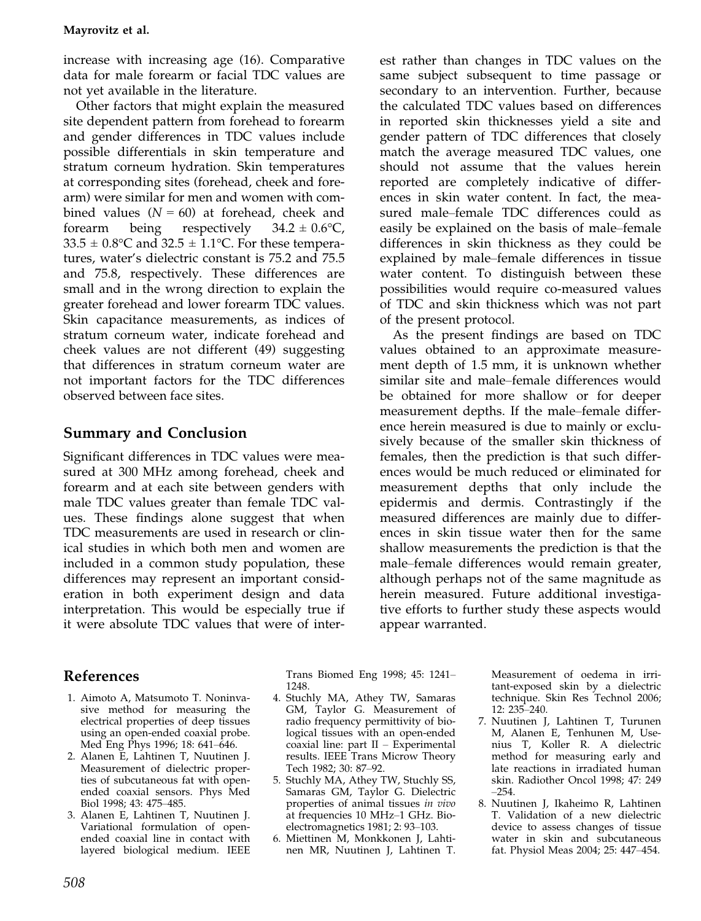#### Mayrovitz et al.

increase with increasing age (16). Comparative data for male forearm or facial TDC values are not yet available in the literature.

Other factors that might explain the measured site dependent pattern from forehead to forearm and gender differences in TDC values include possible differentials in skin temperature and stratum corneum hydration. Skin temperatures at corresponding sites (forehead, cheek and forearm) were similar for men and women with combined values  $(N = 60)$  at forehead, cheek and forearm being respectively  $34.2 \pm 0.6$ °C,  $33.5 \pm 0.8$ °C and  $32.5 \pm 1.1$ °C. For these temperatures, water's dielectric constant is 75.2 and 75.5 and 75.8, respectively. These differences are small and in the wrong direction to explain the greater forehead and lower forearm TDC values. Skin capacitance measurements, as indices of stratum corneum water, indicate forehead and cheek values are not different (49) suggesting that differences in stratum corneum water are not important factors for the TDC differences observed between face sites.

# Summary and Conclusion

Significant differences in TDC values were measured at 300 MHz among forehead, cheek and forearm and at each site between genders with male TDC values greater than female TDC values. These findings alone suggest that when TDC measurements are used in research or clinical studies in which both men and women are included in a common study population, these differences may represent an important consideration in both experiment design and data interpretation. This would be especially true if it were absolute TDC values that were of inter-

est rather than changes in TDC values on the same subject subsequent to time passage or secondary to an intervention. Further, because the calculated TDC values based on differences in reported skin thicknesses yield a site and gender pattern of TDC differences that closely match the average measured TDC values, one should not assume that the values herein reported are completely indicative of differences in skin water content. In fact, the measured male–female TDC differences could as easily be explained on the basis of male–female differences in skin thickness as they could be explained by male–female differences in tissue water content. To distinguish between these possibilities would require co-measured values of TDC and skin thickness which was not part of the present protocol.

As the present findings are based on TDC values obtained to an approximate measurement depth of 1.5 mm, it is unknown whether similar site and male–female differences would be obtained for more shallow or for deeper measurement depths. If the male–female difference herein measured is due to mainly or exclusively because of the smaller skin thickness of females, then the prediction is that such differences would be much reduced or eliminated for measurement depths that only include the epidermis and dermis. Contrastingly if the measured differences are mainly due to differences in skin tissue water then for the same shallow measurements the prediction is that the male–female differences would remain greater, although perhaps not of the same magnitude as herein measured. Future additional investigative efforts to further study these aspects would appear warranted.

# References

- 1. Aimoto A, Matsumoto T. Noninvasive method for measuring the electrical properties of deep tissues using an open-ended coaxial probe. Med Eng Phys 1996; 18: 641–646.
- 2. Alanen E, Lahtinen T, Nuutinen J. Measurement of dielectric properties of subcutaneous fat with openended coaxial sensors. Phys Med Biol 1998; 43: 475–485.
- 3. Alanen E, Lahtinen T, Nuutinen J. Variational formulation of openended coaxial line in contact with layered biological medium. IEEE

Trans Biomed Eng 1998; 45: 1241– 1248.

- 4. Stuchly MA, Athey TW, Samaras GM, Taylor G. Measurement of radio frequency permittivity of biological tissues with an open-ended coaxial line: part II – Experimental results. IEEE Trans Microw Theory Tech 1982; 30: 87–92.
- 5. Stuchly MA, Athey TW, Stuchly SS, Samaras GM, Taylor G. Dielectric properties of animal tissues in vivo at frequencies 10 MHz–1 GHz. Bioelectromagnetics 1981; 2: 93–103.
- 6. Miettinen M, Monkkonen J, Lahtinen MR, Nuutinen J, Lahtinen T.

Measurement of oedema in irritant-exposed skin by a dielectric technique. Skin Res Technol 2006; 12: 235–240.

- 7. Nuutinen J, Lahtinen T, Turunen M, Alanen E, Tenhunen M, Usenius T, Koller R. A dielectric method for measuring early and late reactions in irradiated human skin. Radiother Oncol 1998; 47: 249 –254.
- 8. Nuutinen J, Ikaheimo R, Lahtinen T. Validation of a new dielectric device to assess changes of tissue water in skin and subcutaneous fat. Physiol Meas 2004; 25: 447–454.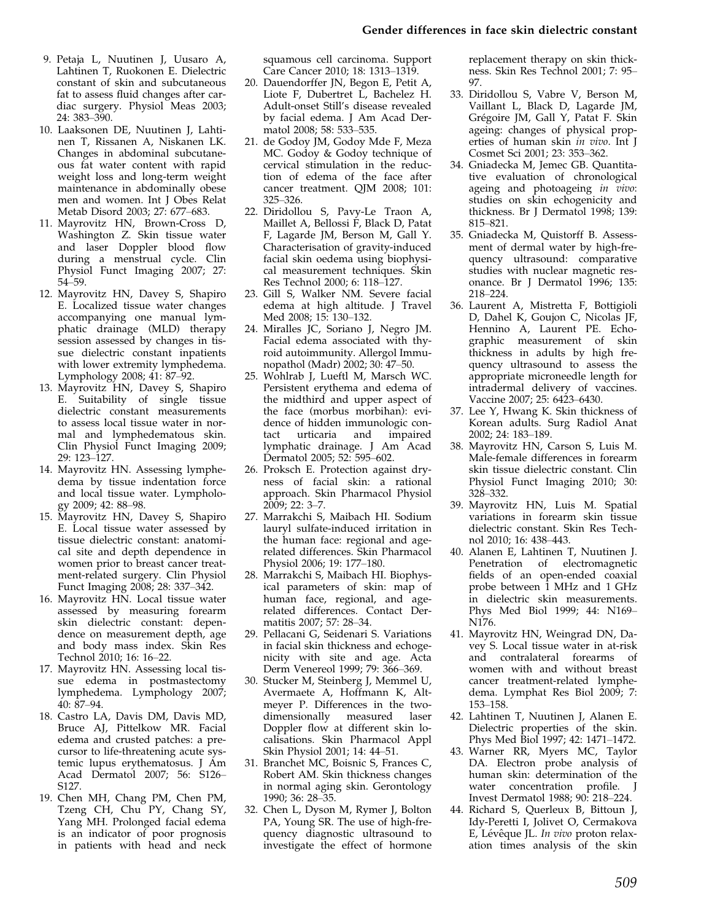- 9. Petaja L, Nuutinen J, Uusaro A, Lahtinen T, Ruokonen E. Dielectric constant of skin and subcutaneous fat to assess fluid changes after cardiac surgery. Physiol Meas 2003; 24: 383–390.
- 10. Laaksonen DE, Nuutinen J, Lahtinen T, Rissanen A, Niskanen LK. Changes in abdominal subcutaneous fat water content with rapid weight loss and long-term weight maintenance in abdominally obese men and women. Int J Obes Relat Metab Disord 2003; 27: 677–683.
- 11. Mayrovitz HN, Brown-Cross D, Washington Z. Skin tissue water and laser Doppler blood flow during a menstrual cycle. Clin Physiol Funct Imaging 2007; 27: 54–59.
- 12. Mayrovitz HN, Davey S, Shapiro E. Localized tissue water changes accompanying one manual lymphatic drainage (MLD) therapy session assessed by changes in tissue dielectric constant inpatients with lower extremity lymphedema. Lymphology 2008; 41: 87–92.
- 13. Mayrovitz HN, Davey S, Shapiro E. Suitability of single tissue dielectric constant measurements to assess local tissue water in normal and lymphedematous skin. Clin Physiol Funct Imaging 2009; 29: 123–127.
- 14. Mayrovitz HN. Assessing lymphedema by tissue indentation force and local tissue water. Lymphology 2009; 42: 88–98.
- 15. Mayrovitz HN, Davey S, Shapiro E. Local tissue water assessed by tissue dielectric constant: anatomical site and depth dependence in women prior to breast cancer treatment-related surgery. Clin Physiol Funct Imaging 2008; 28: 337–342.
- 16. Mayrovitz HN. Local tissue water assessed by measuring forearm skin dielectric constant: dependence on measurement depth, age and body mass index. Skin Res Technol 2010; 16: 16–22.
- 17. Mayrovitz HN. Assessing local tissue edema in postmastectomy lymphedema. Lymphology 2007; 40: 87–94.
- 18. Castro LA, Davis DM, Davis MD, Bruce AJ, Pittelkow MR. Facial edema and crusted patches: a precursor to life-threatening acute systemic lupus erythematosus. J Am Acad Dermatol 2007; 56: S126– S127.
- 19. Chen MH, Chang PM, Chen PM, Tzeng CH, Chu PY, Chang SY, Yang MH. Prolonged facial edema is an indicator of poor prognosis in patients with head and neck

squamous cell carcinoma. Support Care Cancer 2010; 18: 1313–1319.

- 20. Dauendorffer JN, Begon E, Petit A, Liote F, Dubertret L, Bachelez H. Adult-onset Still's disease revealed by facial edema. J Am Acad Dermatol 2008; 58: 533–535.
- 21. de Godoy JM, Godoy Mde F, Meza MC. Godoy & Godoy technique of cervical stimulation in the reduction of edema of the face after cancer treatment. QJM 2008; 101: 325–326.
- 22. Diridollou S, Pavy-Le Traon A, Maillet A, Bellossi F, Black D, Patat F, Lagarde JM, Berson M, Gall Y. Characterisation of gravity-induced facial skin oedema using biophysical measurement techniques. Skin Res Technol 2000; 6: 118–127.
- 23. Gill S, Walker NM. Severe facial edema at high altitude. J Travel Med 2008; 15: 130–132.
- 24. Miralles JC, Soriano J, Negro JM. Facial edema associated with thyroid autoimmunity. Allergol Immunopathol (Madr) 2002; 30: 47–50.
- 25. Wohlrab J, Lueftl M, Marsch WC. Persistent erythema and edema of the midthird and upper aspect of the face (morbus morbihan): evidence of hidden immunologic con-<br>tact urticaria and impaired tact urticaria lymphatic drainage. J Am Acad Dermatol 2005; 52: 595–602.
- 26. Proksch E. Protection against dryness of facial skin: a rational approach. Skin Pharmacol Physiol 2009; 22: 3–7.
- 27. Marrakchi S, Maibach HI. Sodium lauryl sulfate-induced irritation in the human face: regional and agerelated differences. Skin Pharmacol Physiol 2006; 19: 177–180.
- 28. Marrakchi S, Maibach HI. Biophysical parameters of skin: map of human face, regional, and agerelated differences. Contact Dermatitis 2007; 57: 28–34.
- 29. Pellacani G, Seidenari S. Variations in facial skin thickness and echogenicity with site and age. Acta Derm Venereol 1999; 79: 366–369.
- 30. Stucker M, Steinberg J, Memmel U, Avermaete A, Hoffmann K, Altmeyer P. Differences in the twodimensionally measured laser Doppler flow at different skin localisations. Skin Pharmacol Appl Skin Physiol 2001; 14: 44–51.
- 31. Branchet MC, Boisnic S, Frances C, Robert AM. Skin thickness changes in normal aging skin. Gerontology 1990; 36: 28–35.
- 32. Chen L, Dyson M, Rymer J, Bolton PA, Young SR. The use of high-frequency diagnostic ultrasound to investigate the effect of hormone

replacement therapy on skin thickness. Skin Res Technol 2001; 7: 95– 97.

- 33. Diridollou S, Vabre V, Berson M, Vaillant L, Black D, Lagarde JM, Grégoire JM, Gall Y, Patat F. Skin ageing: changes of physical properties of human skin in vivo. Int J Cosmet Sci 2001; 23: 353–362.
- 34. Gniadecka M, Jemec GB. Quantitative evaluation of chronological ageing and photoageing in vivo: studies on skin echogenicity and thickness. Br J Dermatol 1998; 139: 815–821.
- 35. Gniadecka M, Quistorff B. Assessment of dermal water by high-frequency ultrasound: comparative studies with nuclear magnetic resonance. Br J Dermatol 1996; 135: 218–224.
- 36. Laurent A, Mistretta F, Bottigioli D, Dahel K, Goujon C, Nicolas JF, Hennino A, Laurent PE. Echographic measurement of skin thickness in adults by high frequency ultrasound to assess the appropriate microneedle length for intradermal delivery of vaccines. Vaccine 2007; 25: 6423–6430.
- 37. Lee Y, Hwang K. Skin thickness of Korean adults. Surg Radiol Anat 2002; 24: 183–189.
- 38. Mayrovitz HN, Carson S, Luis M. Male-female differences in forearm skin tissue dielectric constant. Clin Physiol Funct Imaging 2010; 30: 328–332.
- 39. Mayrovitz HN, Luis M. Spatial variations in forearm skin tissue dielectric constant. Skin Res Technol 2010; 16: 438–443.
- 40. Alanen E, Lahtinen T, Nuutinen J. Penetration of electromagnetic fields of an open-ended coaxial probe between 1 MHz and 1 GHz in dielectric skin measurements. Phys Med Biol 1999; 44: N169– N176.
- 41. Mayrovitz HN, Weingrad DN, Davey S. Local tissue water in at-risk and contralateral forearms of women with and without breast cancer treatment-related lymphedema. Lymphat Res Biol 2009; 7: 153–158.
- 42. Lahtinen T, Nuutinen J, Alanen E. Dielectric properties of the skin. Phys Med Biol 1997; 42: 1471–1472.
- 43. Warner RR, Myers MC, Taylor DA. Electron probe analysis of human skin: determination of the water concentration profile. J Invest Dermatol 1988; 90: 218–224.
- 44. Richard S, Querleux B, Bittoun J, Idy-Peretti I, Jolivet O, Cermakova E, Lévêque JL. In vivo proton relaxation times analysis of the skin